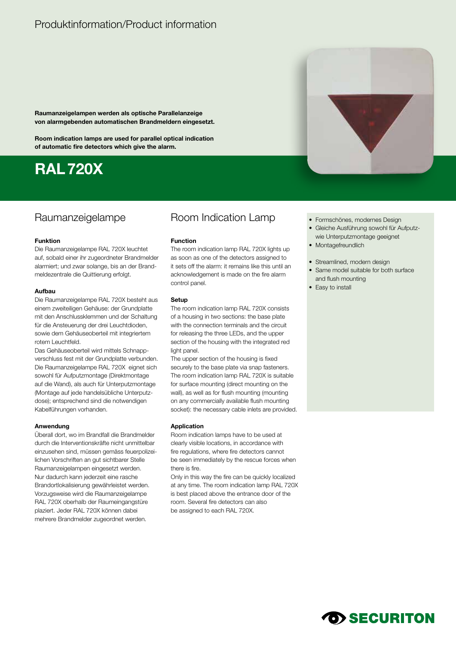## Produktinformation/Product information

**Raumanzeigelampen werden als optische Parallelanzeige von alarmgebenden automatischen Brandmeldern eingesetzt.** 

**Room indication lamps are used for parallel optical indication of automatic fire detectors which give the alarm.**

# **RAL720X**

### **Funktion**

Die Raumanzeigelampe RAL 720X leuchtet auf, sobald einer ihr zugeordneter Brandmelder alarmiert; und zwar solange, bis an der Brandmeldezentrale die Quittierung erfolgt.

#### **Aufbau**

Die Raumanzeigelampe RAL 720X besteht aus einem zweiteiligen Gehäuse: der Grundplatte mit den Anschlussklemmen und der Schaltung für die Ansteuerung der drei Leuchtdioden, sowie dem Gehäuseoberteil mit integriertem rotem Leuchtfeld.

Das Gehäuseoberteil wird mittels Schnappverschluss fest mit der Grundplatte verbunden. Die Raumanzeigelampe RAL 720X eignet sich sowohl für Aufputzmontage (Direktmontage auf die Wand), als auch für Unterputzmontage (Montage auf jede handelsübliche Unterputzdose); entsprechend sind die notwendigen Kabelführungen vorhanden.

### **Anwendung**

Überall dort, wo im Brandfall die Brandmelder durch die Interventionskräfte nicht unmittelbar einzusehen sind, müssen gemäss feuerpolizeilichen Vorschriften an gut sichtbarer Stelle Raumanzeigelampen eingesetzt werden. Nur dadurch kann jederzeit eine rasche Brandortlokalisierung gewährleistet werden. Vorzugsweise wird die Raumanzeigelampe RAL 720X oberhalb der Raumeingangstüre plaziert. Jeder RAL 720X können dabei mehrere Brandmelder zugeordnet werden.

### Raumanzeigelampe Room Indication Lamp Formschönes, modernes Design

### **Function**

The room indication lamp RAL 720X lights up as soon as one of the detectors assigned to it sets off the alarm: it remains like this until an acknowledgement is made on the fire alarm control panel.

#### **Setup**

The room indication lamp RAL 720X consists of a housing in two sections: the base plate with the connection terminals and the circuit for releasing the three LEDs, and the upper section of the housing with the integrated red light panel.

The upper section of the housing is fixed securely to the base plate via snap fasteners. The room indication lamp RAL 720X is suitable for surface mounting (direct mounting on the wall), as well as for flush mounting (mounting on any commercially available flush mounting socket): the necessary cable inlets are provided.

### **Application**

Room indication lamps have to be used at clearly visible locations, in accordance with fire regulations, where fire detectors cannot be seen immediately by the rescue forces when there is fire.

Only in this way the fire can be quickly localized at any time. The room indication lamp RAL 720X is best placed above the entrance door of the room. Several fire detectors can also be assigned to each RAL 720X.

- 
- Gleiche Ausführung sowohl für Aufputzwie Unterputzmontage geeignet
- Montagefreundlich
- Streamlined, modern design
- Same model suitable for both surface and flush mounting
- Easy to install